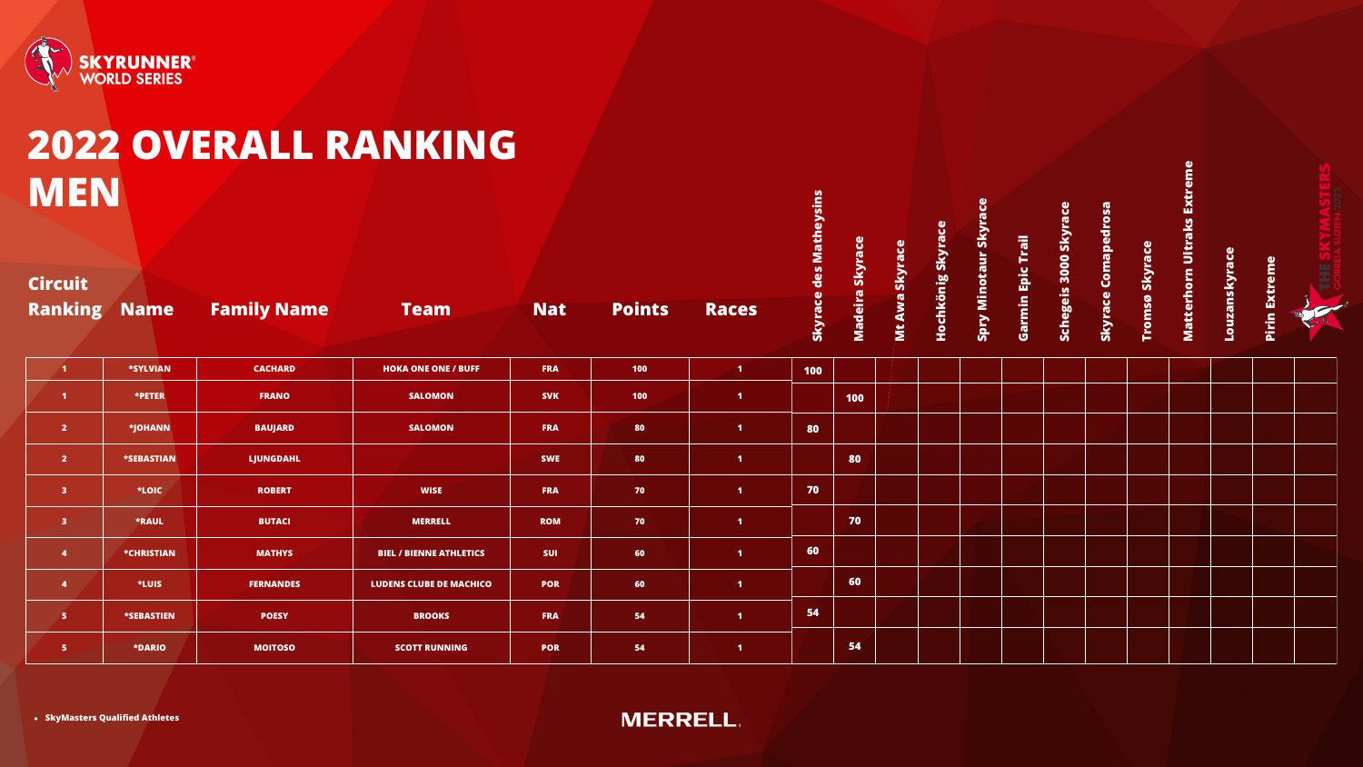

### **2022 OVERALL RANKING MEN**

**Madeir a**

| <b>Ranking Name</b>     |                   | <b>Family Name</b> | <b>Team</b>                    | <b>Nat</b> | <b>Points</b> | <b>Races</b>         | Skyrac | <b>Madei</b> |
|-------------------------|-------------------|--------------------|--------------------------------|------------|---------------|----------------------|--------|--------------|
| $\blacksquare$          | <b>*SYLVIAN</b>   | <b>CACHARD</b>     | <b>HOKA ONE ONE / BUFF</b>     | <b>FRA</b> | 100           | $\blacksquare$       | 100    |              |
| $\blacktriangleleft$    | *PETER            | <b>FRANO</b>       | <b>SALOMON</b>                 | <b>SVK</b> | <b>100</b>    | $\blacktriangleleft$ |        | 100          |
| $\overline{2}$          | *JOHANN           | <b>BAUJARD</b>     | <b>SALOMON</b>                 | <b>FRA</b> | 80            | $\blacksquare$       | 80     |              |
| $\overline{2}$          | <b>*SEBASTIAN</b> | <b>LJUNGDAHL</b>   |                                | <b>SWE</b> | 80            | $\blacksquare$       |        | 80           |
| $\overline{\mathbf{3}}$ | *LOIC             | <b>ROBERT</b>      | <b>WISE</b>                    | <b>FRA</b> | 70            | $\mathbf{1}$         | 70     |              |
| $\mathbf{3}$            | *RAUL             | <b>BUTACI</b>      | <b>MERRELL</b>                 | <b>ROM</b> | 70            | $\blacktriangleleft$ |        | 70           |
| $\overline{\mathbf{4}}$ | <b>*CHRISTIAN</b> | <b>MATHYS</b>      | <b>BIEL / BIENNE ATHLETICS</b> | <b>SUI</b> | 60            | $\blacksquare$       | 60     |              |
| $\overline{\mathbf{4}}$ | *LUIS             | <b>FERNANDES</b>   | <b>LUDENS CLUBE DE MACHICO</b> | <b>POR</b> | 60            | $\blacksquare$       |        | 60           |
| $\overline{\mathbf{5}}$ | <b>*SEBASTIEN</b> | <b>POESY</b>       | <b>BROOKS</b>                  | <b>FRA</b> | 54            | $\blacktriangleleft$ | 54     |              |
| 5                       | <b>*DARIO</b>     | <b>MOITOSO</b>     | <b>SCOTT RUNNING</b>           | <b>POR</b> | 54            | $\blacksquare$       |        | 54           |

**Sky race**



**MtA wa**

**Sky race**

**Hochkönig Sky race**

**Spry Min**

**otaurSky race**

**Garmin Epic**

**Trail**

**Sch**

**egeis 3000Sky race**

**Sky racepe**

**Coma**

**drosa**

**Tro**

**msø**

**Sky race**

**atterh**

### **MornUlt raksExtrem**

**e**

**uza**

**Lonsky race**

### **Pirin Extreme**

#### **Circuit**

**SkyMasters Qualified Athletes**

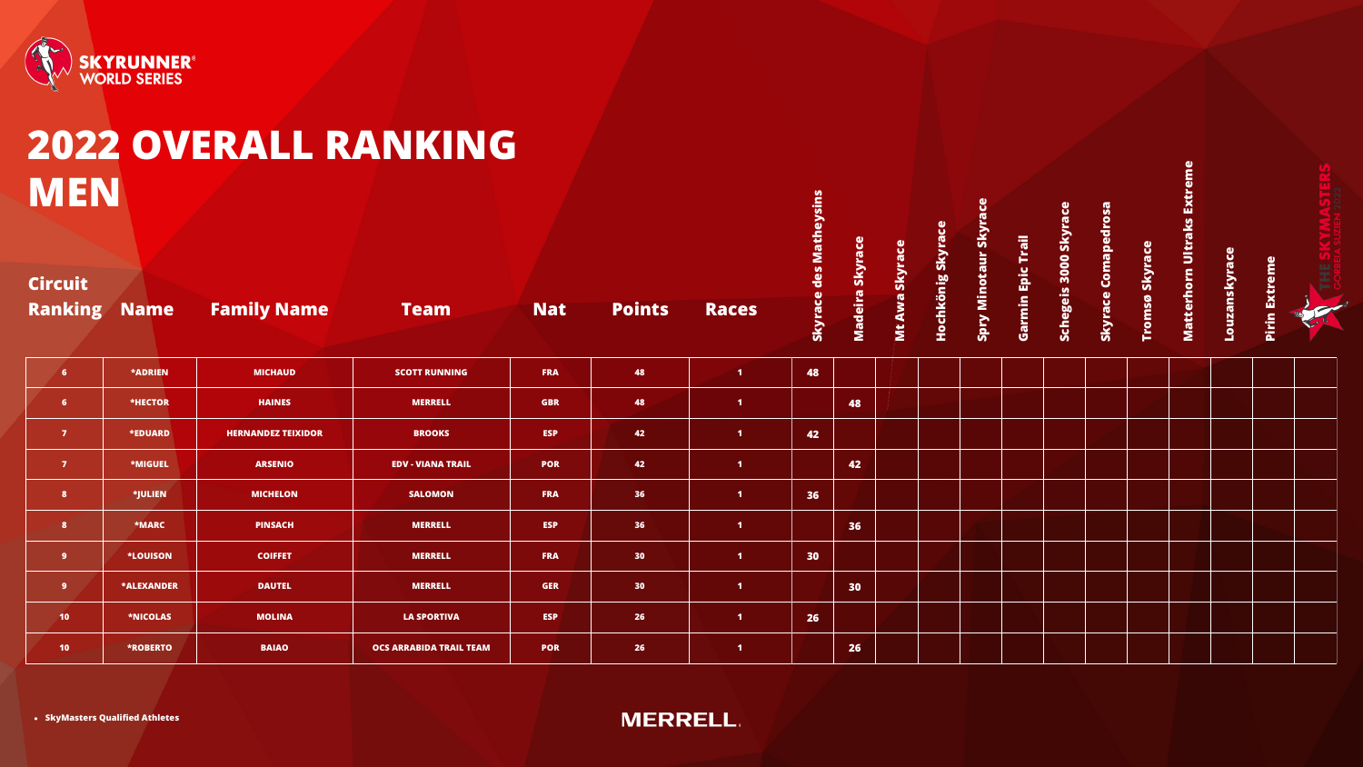

# **MEN**

|                                  |                   |                           | 2022 OVERALL RANKING           |            |                 |                   |                 |                 |               |                   |                    |             |                       |                     |                       |                            |               |                         |   |
|----------------------------------|-------------------|---------------------------|--------------------------------|------------|-----------------|-------------------|-----------------|-----------------|---------------|-------------------|--------------------|-------------|-----------------------|---------------------|-----------------------|----------------------------|---------------|-------------------------|---|
| <b>MEN</b>                       |                   |                           |                                |            |                 |                   | des Matheysins  |                 |               |                   | ū                  | Trail       |                       |                     |                       |                            |               |                         |   |
| <b>Circuit</b><br><b>Ranking</b> | <b>Name</b>       | <b>Family Name</b>        | <b>Team</b>                    | <b>Nat</b> | <b>Points</b>   | <b>Races</b>      | <b>Skyrace</b>  | Madeira Skyrace | Mt Awa Skyrac | Hochkönig Skyrace | Spry Minotaur Skyr | Garmin Epic | Schegeis 3000 Skyrace | Skyrace Comapedrosa | <b>Tromsø Skyrace</b> | Matterhorn Ultraks Extreme | Louzanskyrace | <b>Extreme</b><br>Pirin | 뿦 |
| 6 <sup>1</sup>                   | <b>*ADRIEN</b>    | <b>MICHAUD</b>            | <b>SCOTT RUNNING</b>           | FRA        | 48              | $\blacksquare$    | 48              |                 |               |                   |                    |             |                       |                     |                       |                            |               |                         |   |
| 6 <sup>1</sup>                   | *HECTOR           | <b>HAINES</b>             | <b>MERRELL</b>                 | <b>GBR</b> | 48              | $\blacksquare$    |                 | 48              |               |                   |                    |             |                       |                     |                       |                            |               |                         |   |
| $\overline{7}$                   | *EDUARD           | <b>HERNANDEZ TEIXIDOR</b> | <b>BROOKS</b>                  | <b>ESP</b> | 42              | $\blacksquare$    | 42              |                 |               |                   |                    |             |                       |                     |                       |                            |               |                         |   |
| $\overline{7}$                   | *MIGUEL           | <b>ARSENIO</b>            | <b>EDV - VIANA TRAIL</b>       | <b>POR</b> | 42              | $\blacksquare$    |                 | 42              |               |                   |                    |             |                       |                     |                       |                            |               |                         |   |
| 8 <sup>1</sup>                   | *JULIEN           | <b>MICHELON</b>           | <b>SALOMON</b>                 | <b>FRA</b> | 36              | $\blacksquare$    | 36              |                 |               |                   |                    |             |                       |                     |                       |                            |               |                         |   |
| 8 <sup>1</sup>                   | *MARC             | <b>PINSACH</b>            | <b>MERRELL</b>                 | <b>ESP</b> | 36              | $\vert$ 1         |                 | 36              |               |                   |                    |             |                       |                     |                       |                            |               |                         |   |
| 9 <sup>°</sup>                   | <b>*LOUISON</b>   | <b>COIFFET</b>            | <b>MERRELL</b>                 | <b>FRA</b> | 30 <sub>2</sub> | $\blacksquare$    | 30 <sub>2</sub> |                 |               |                   |                    |             |                       |                     |                       |                            |               |                         |   |
| 9 <sup>°</sup>                   | <b>*ALEXANDER</b> | <b>DAUTEL</b>             | <b>MERRELL</b>                 | <b>GER</b> | 30 <sub>2</sub> | $\blacksquare$    |                 | 30              |               |                   |                    |             |                       |                     |                       |                            |               |                         |   |
| 10 <sub>1</sub>                  | *NICOLAS          | <b>MOLINA</b>             | <b>LA SPORTIVA</b>             | <b>ESP</b> | 26              | $\vert 1 \rangle$ | 26              |                 |               |                   |                    |             |                       |                     |                       |                            |               |                         |   |
| 10 <sub>1</sub>                  | <b>*ROBERTO</b>   | <b>BAIAO</b>              | <b>OCS ARRABIDA TRAIL TEAM</b> | <b>POR</b> | 26              | $\blacksquare$    |                 | 26              |               |                   |                    |             |                       |                     |                       |                            |               |                         |   |

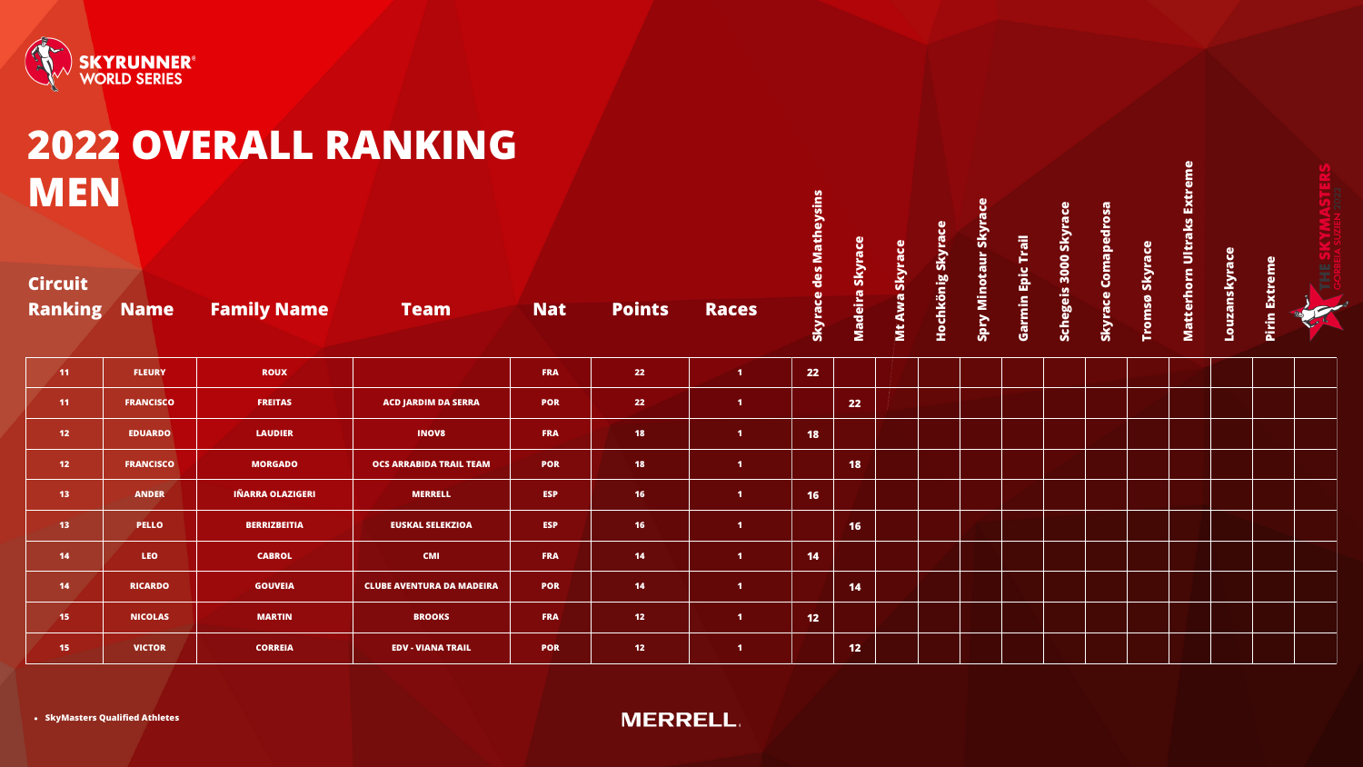

# **MEN**

|                                  |                  | 2022 OVERALL RANKING    |                                  |            |               |                   |                 |                 |                |                   |                     |                   |                       |                     |                       |                            |               |                         |   |
|----------------------------------|------------------|-------------------------|----------------------------------|------------|---------------|-------------------|-----------------|-----------------|----------------|-------------------|---------------------|-------------------|-----------------------|---------------------|-----------------------|----------------------------|---------------|-------------------------|---|
| <b>MEN</b>                       |                  |                         |                                  |            |               |                   | des Matheysins  |                 |                |                   | $\ddot{\mathbf{u}}$ |                   |                       |                     |                       |                            |               |                         |   |
| <b>Circuit</b><br><b>Ranking</b> | <b>Name</b>      | <b>Family Name</b>      | <b>Team</b>                      | <b>Nat</b> | <b>Points</b> | <b>Races</b>      | <b>Skyrace</b>  | Madeira Skyrace | Mt Awa Skyrace | Hochkönig Skyrace | Spry Minotaur Skyr  | Garmin Epic Trail | Schegeis 3000 Skyrace | Skyrace Comapedrosa | <b>Tromsø Skyrace</b> | Matterhorn Ultraks Extreme | Louzanskyrace | <b>Extreme</b><br>Pirin | 뿦 |
| 11                               | <b>FLEURY</b>    | <b>ROUX</b>             |                                  | <b>FRA</b> | 22            | $\vert$ 1         | 22              |                 |                |                   |                     |                   |                       |                     |                       |                            |               |                         |   |
| 11 <sub>1</sub>                  | <b>FRANCISCO</b> | <b>FREITAS</b>          | <b>ACD JARDIM DA SERRA</b>       | <b>POR</b> | 22            | $\blacksquare$    |                 | 22              |                |                   |                     |                   |                       |                     |                       |                            |               |                         |   |
| 12 <sub>2</sub>                  | <b>EDUARDO</b>   | <b>LAUDIER</b>          | <b>INOV8</b>                     | <b>FRA</b> | 18            | $\blacksquare$    | 18              |                 |                |                   |                     |                   |                       |                     |                       |                            |               |                         |   |
| 12 <sub>1</sub>                  | <b>FRANCISCO</b> | <b>MORGADO</b>          | <b>OCS ARRABIDA TRAIL TEAM</b>   | <b>POR</b> | <b>18</b>     | $\blacksquare$    |                 | <b>18</b>       |                |                   |                     |                   |                       |                     |                       |                            |               |                         |   |
| 13 <sup>°</sup>                  | <b>ANDER</b>     | <b>IÑARRA OLAZIGERI</b> | <b>MERRELL</b>                   | <b>ESP</b> | 16            | $\vert 1 \vert$   | 16 <sub>1</sub> |                 |                |                   |                     |                   |                       |                     |                       |                            |               |                         |   |
| 13 <sup>°</sup>                  | <b>PELLO</b>     | <b>BERRIZBEITIA</b>     | <b>EUSKAL SELEKZIOA</b>          | <b>ESP</b> | <b>16</b>     | $\vert 1 \rangle$ |                 | 16              |                |                   |                     |                   |                       |                     |                       |                            |               |                         |   |
| 14                               | <b>LEO</b>       | <b>CABROL</b>           | <b>CMI</b>                       | <b>FRA</b> | 14            | $\blacksquare$    | 14              |                 |                |                   |                     |                   |                       |                     |                       |                            |               |                         |   |
| 14                               | <b>RICARDO</b>   | <b>GOUVEIA</b>          | <b>CLUBE AVENTURA DA MADEIRA</b> | <b>POR</b> | 14            | $\blacksquare$    |                 | 14              |                |                   |                     |                   |                       |                     |                       |                            |               |                         |   |
| 15 <sub>1</sub>                  | <b>NICOLAS</b>   | <b>MARTIN</b>           | <b>BROOKS</b>                    | <b>FRA</b> | 12            | $\vert 1 \rangle$ | 12 <sub>2</sub> |                 |                |                   |                     |                   |                       |                     |                       |                            |               |                         |   |
| 15 <sub>1</sub>                  | <b>VICTOR</b>    | <b>CORREIA</b>          | <b>EDV - VIANA TRAIL</b>         | <b>POR</b> | 12            | $\blacksquare$    |                 | 12              |                |                   |                     |                   |                       |                     |                       |                            |               |                         |   |

**SkyMasters Qualified Athletes**